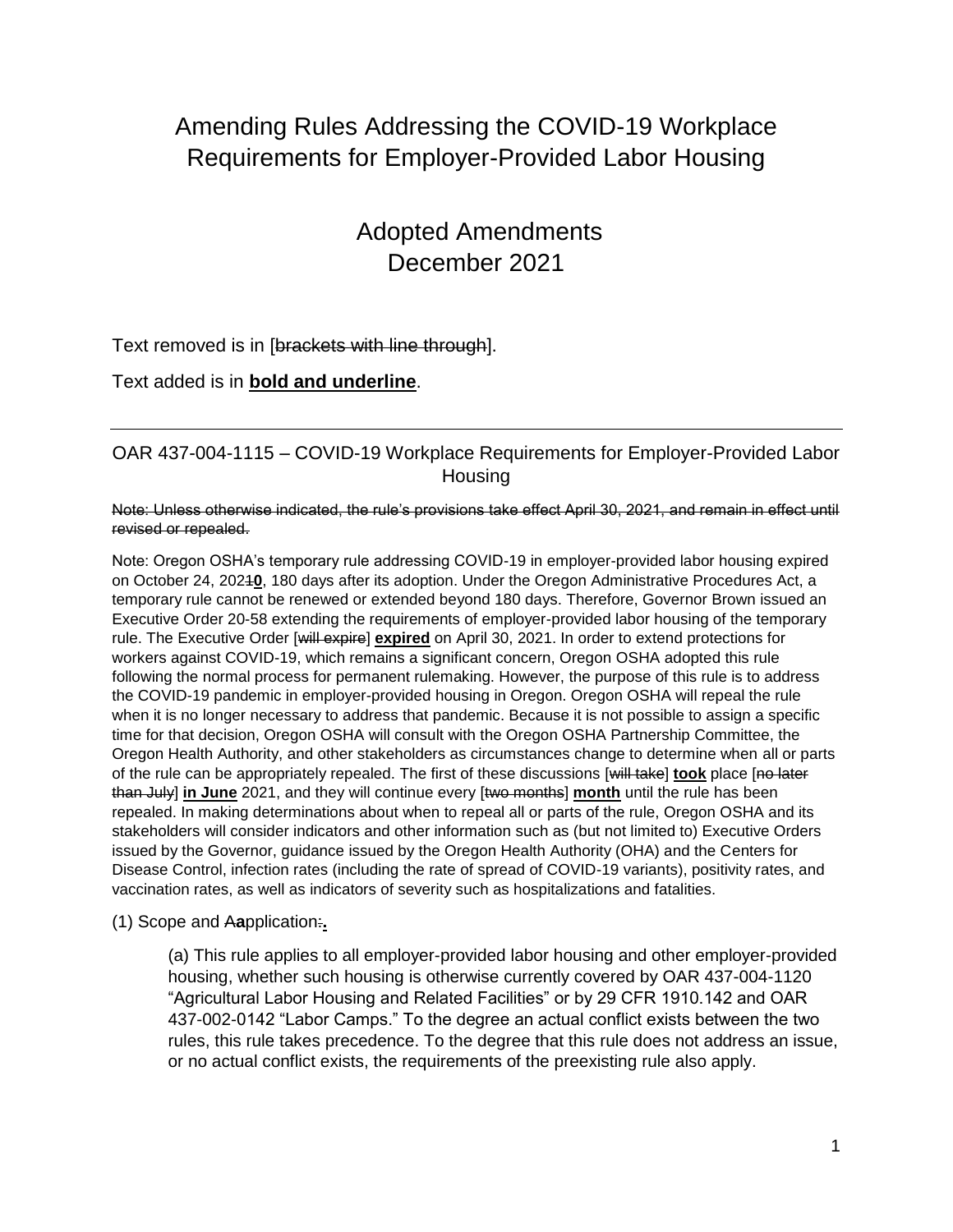# Amending Rules Addressing the COVID-19 Workplace Requirements for Employer-Provided Labor Housing

# Adopted Amendments December 2021

### Text removed is in [brackets with line through].

Text added is in **bold and underline**.

### OAR 437-004-1115 – COVID-19 Workplace Requirements for Employer-Provided Labor Housing

Note: Unless otherwise indicated, the rule's provisions take effect April 30, 2021, and remain in effect until revised or repealed.

Note: Oregon OSHA's temporary rule addressing COVID-19 in employer-provided labor housing expired on October 24, 2021**0**, 180 days after its adoption. Under the Oregon Administrative Procedures Act, a temporary rule cannot be renewed or extended beyond 180 days. Therefore, Governor Brown issued an Executive Order 20-58 extending the requirements of employer-provided labor housing of the temporary rule. The Executive Order [will expire] **expired** on April 30, 2021. In order to extend protections for workers against COVID-19, which remains a significant concern, Oregon OSHA adopted this rule following the normal process for permanent rulemaking. However, the purpose of this rule is to address the COVID-19 pandemic in employer-provided housing in Oregon. Oregon OSHA will repeal the rule when it is no longer necessary to address that pandemic. Because it is not possible to assign a specific time for that decision, Oregon OSHA will consult with the Oregon OSHA Partnership Committee, the Oregon Health Authority, and other stakeholders as circumstances change to determine when all or parts of the rule can be appropriately repealed. The first of these discussions [will take] **took** place [no later than July] **in June** 2021, and they will continue every [two months] **month** until the rule has been repealed. In making determinations about when to repeal all or parts of the rule, Oregon OSHA and its stakeholders will consider indicators and other information such as (but not limited to) Executive Orders issued by the Governor, guidance issued by the Oregon Health Authority (OHA) and the Centers for Disease Control, infection rates (including the rate of spread of COVID-19 variants), positivity rates, and vaccination rates, as well as indicators of severity such as hospitalizations and fatalities.

#### (1) Scope and A**a**pplication:**.**

(a) This rule applies to all employer-provided labor housing and other employer-provided housing, whether such housing is otherwise currently covered by OAR 437-004-1120 "Agricultural Labor Housing and Related Facilities" or by 29 CFR 1910.142 and OAR 437-002-0142 "Labor Camps." To the degree an actual conflict exists between the two rules, this rule takes precedence. To the degree that this rule does not address an issue, or no actual conflict exists, the requirements of the preexisting rule also apply.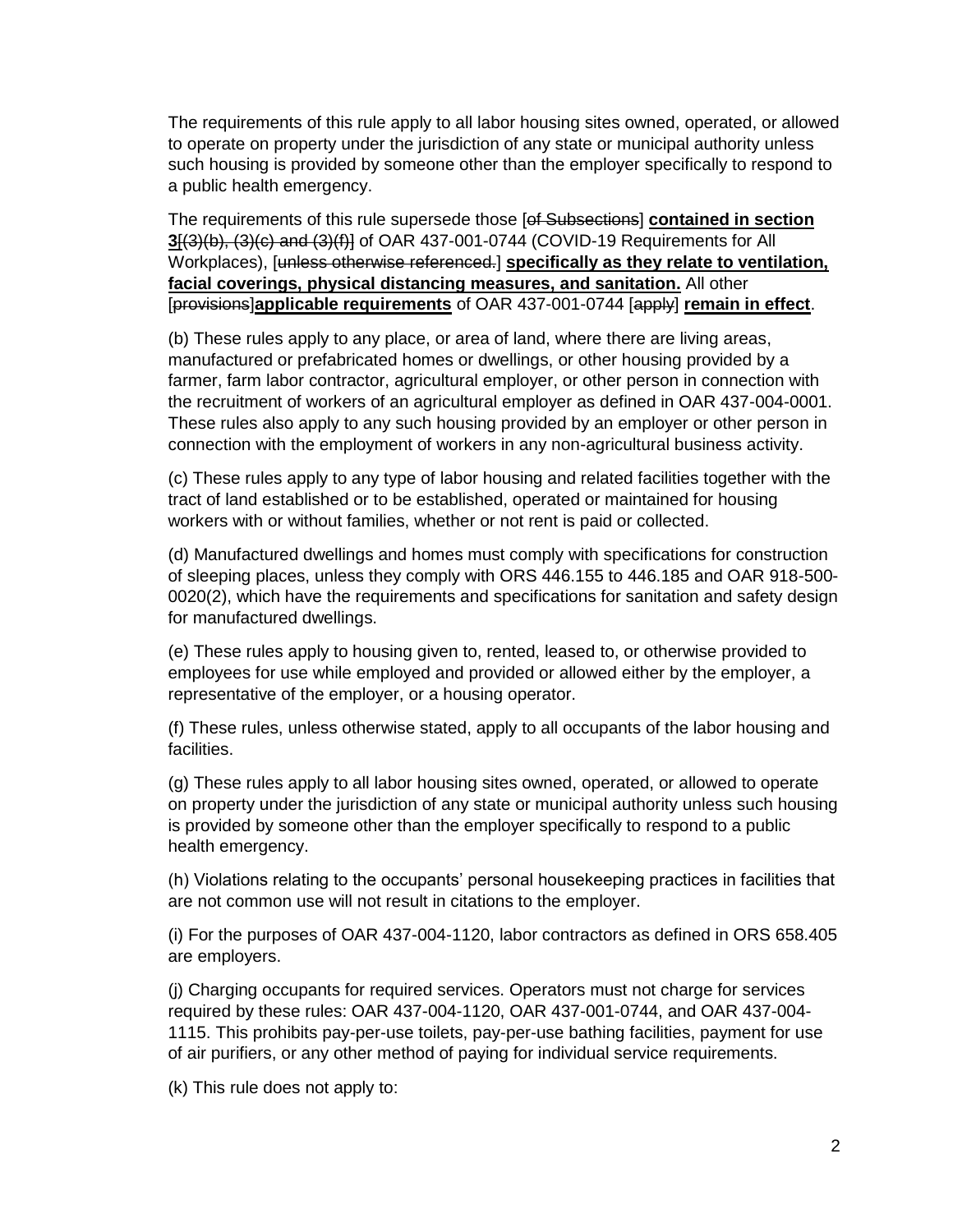The requirements of this rule apply to all labor housing sites owned, operated, or allowed to operate on property under the jurisdiction of any state or municipal authority unless such housing is provided by someone other than the employer specifically to respond to a public health emergency.

The requirements of this rule supersede those [of Subsections] **contained in section 3**[(3)(b), (3)(c) and (3)(f)] of OAR 437-001-0744 (COVID-19 Requirements for All Workplaces), [unless otherwise referenced.] **specifically as they relate to ventilation, facial coverings, physical distancing measures, and sanitation.** All other [provisions]**applicable requirements** of OAR 437-001-0744 [apply] **remain in effect**.

(b) These rules apply to any place, or area of land, where there are living areas, manufactured or prefabricated homes or dwellings, or other housing provided by a farmer, farm labor contractor, agricultural employer, or other person in connection with the recruitment of workers of an agricultural employer as defined in OAR 437-004-0001. These rules also apply to any such housing provided by an employer or other person in connection with the employment of workers in any non-agricultural business activity.

(c) These rules apply to any type of labor housing and related facilities together with the tract of land established or to be established, operated or maintained for housing workers with or without families, whether or not rent is paid or collected.

(d) Manufactured dwellings and homes must comply with specifications for construction of sleeping places, unless they comply with ORS 446.155 to 446.185 and OAR 918-500- 0020(2), which have the requirements and specifications for sanitation and safety design for manufactured dwellings.

(e) These rules apply to housing given to, rented, leased to, or otherwise provided to employees for use while employed and provided or allowed either by the employer, a representative of the employer, or a housing operator.

(f) These rules, unless otherwise stated, apply to all occupants of the labor housing and facilities.

(g) These rules apply to all labor housing sites owned, operated, or allowed to operate on property under the jurisdiction of any state or municipal authority unless such housing is provided by someone other than the employer specifically to respond to a public health emergency.

(h) Violations relating to the occupants' personal housekeeping practices in facilities that are not common use will not result in citations to the employer.

(i) For the purposes of OAR 437-004-1120, labor contractors as defined in ORS 658.405 are employers.

(j) Charging occupants for required services. Operators must not charge for services required by these rules: OAR 437-004-1120, OAR 437-001-0744, and OAR 437-004- 1115. This prohibits pay-per-use toilets, pay-per-use bathing facilities, payment for use of air purifiers, or any other method of paying for individual service requirements.

(k) This rule does not apply to: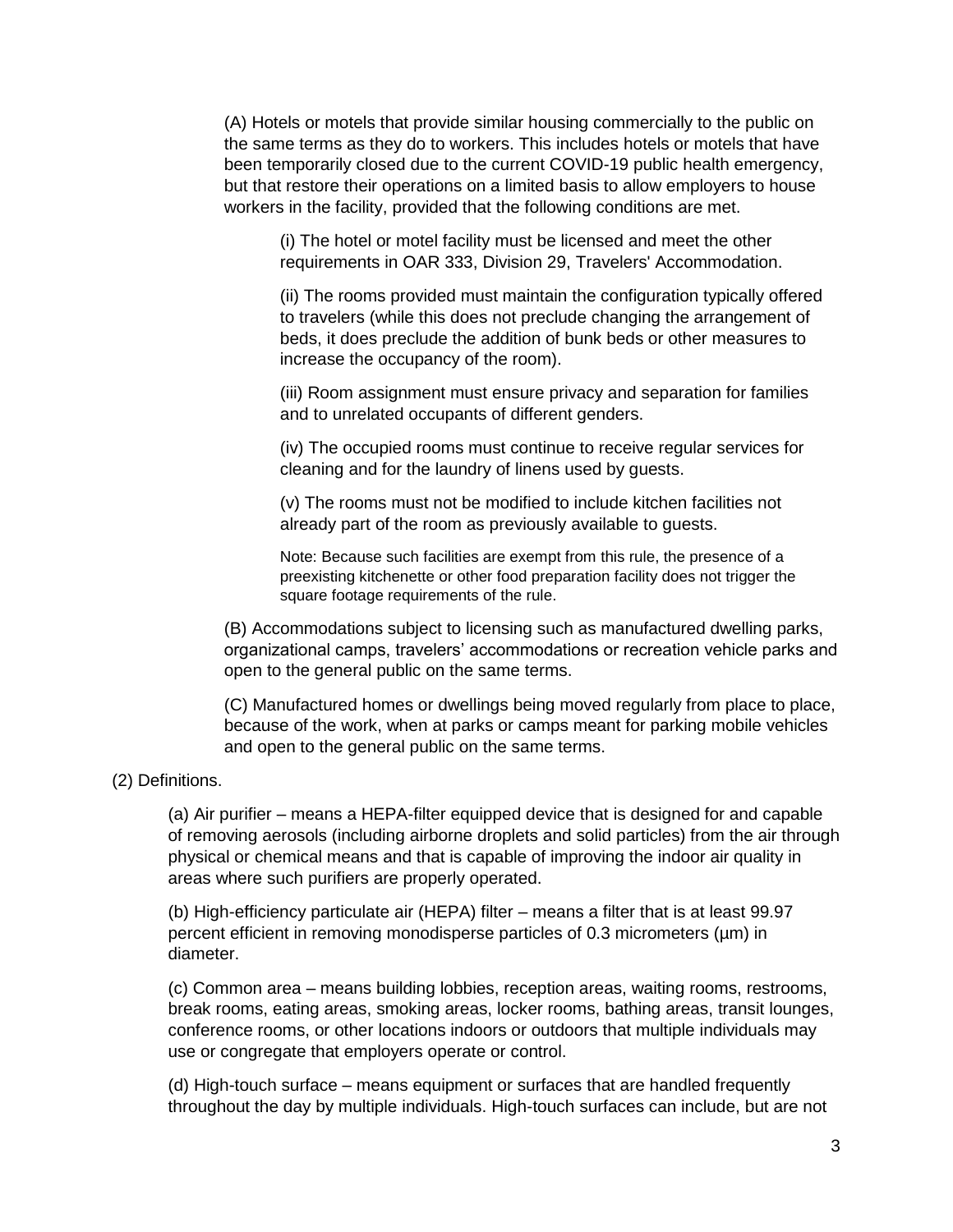(A) Hotels or motels that provide similar housing commercially to the public on the same terms as they do to workers. This includes hotels or motels that have been temporarily closed due to the current COVID-19 public health emergency, but that restore their operations on a limited basis to allow employers to house workers in the facility, provided that the following conditions are met.

(i) The hotel or motel facility must be licensed and meet the other requirements in OAR 333, Division 29, Travelers' Accommodation.

(ii) The rooms provided must maintain the configuration typically offered to travelers (while this does not preclude changing the arrangement of beds, it does preclude the addition of bunk beds or other measures to increase the occupancy of the room).

(iii) Room assignment must ensure privacy and separation for families and to unrelated occupants of different genders.

(iv) The occupied rooms must continue to receive regular services for cleaning and for the laundry of linens used by guests.

(v) The rooms must not be modified to include kitchen facilities not already part of the room as previously available to guests.

Note: Because such facilities are exempt from this rule, the presence of a preexisting kitchenette or other food preparation facility does not trigger the square footage requirements of the rule.

(B) Accommodations subject to licensing such as manufactured dwelling parks, organizational camps, travelers' accommodations or recreation vehicle parks and open to the general public on the same terms.

(C) Manufactured homes or dwellings being moved regularly from place to place, because of the work, when at parks or camps meant for parking mobile vehicles and open to the general public on the same terms.

#### (2) Definitions.

(a) Air purifier – means a HEPA-filter equipped device that is designed for and capable of removing aerosols (including airborne droplets and solid particles) from the air through physical or chemical means and that is capable of improving the indoor air quality in areas where such purifiers are properly operated.

(b) High-efficiency particulate air (HEPA) filter – means a filter that is at least 99.97 percent efficient in removing monodisperse particles of 0.3 micrometers (µm) in diameter.

(c) Common area – means building lobbies, reception areas, waiting rooms, restrooms, break rooms, eating areas, smoking areas, locker rooms, bathing areas, transit lounges, conference rooms, or other locations indoors or outdoors that multiple individuals may use or congregate that employers operate or control.

(d) High-touch surface – means equipment or surfaces that are handled frequently throughout the day by multiple individuals. High-touch surfaces can include, but are not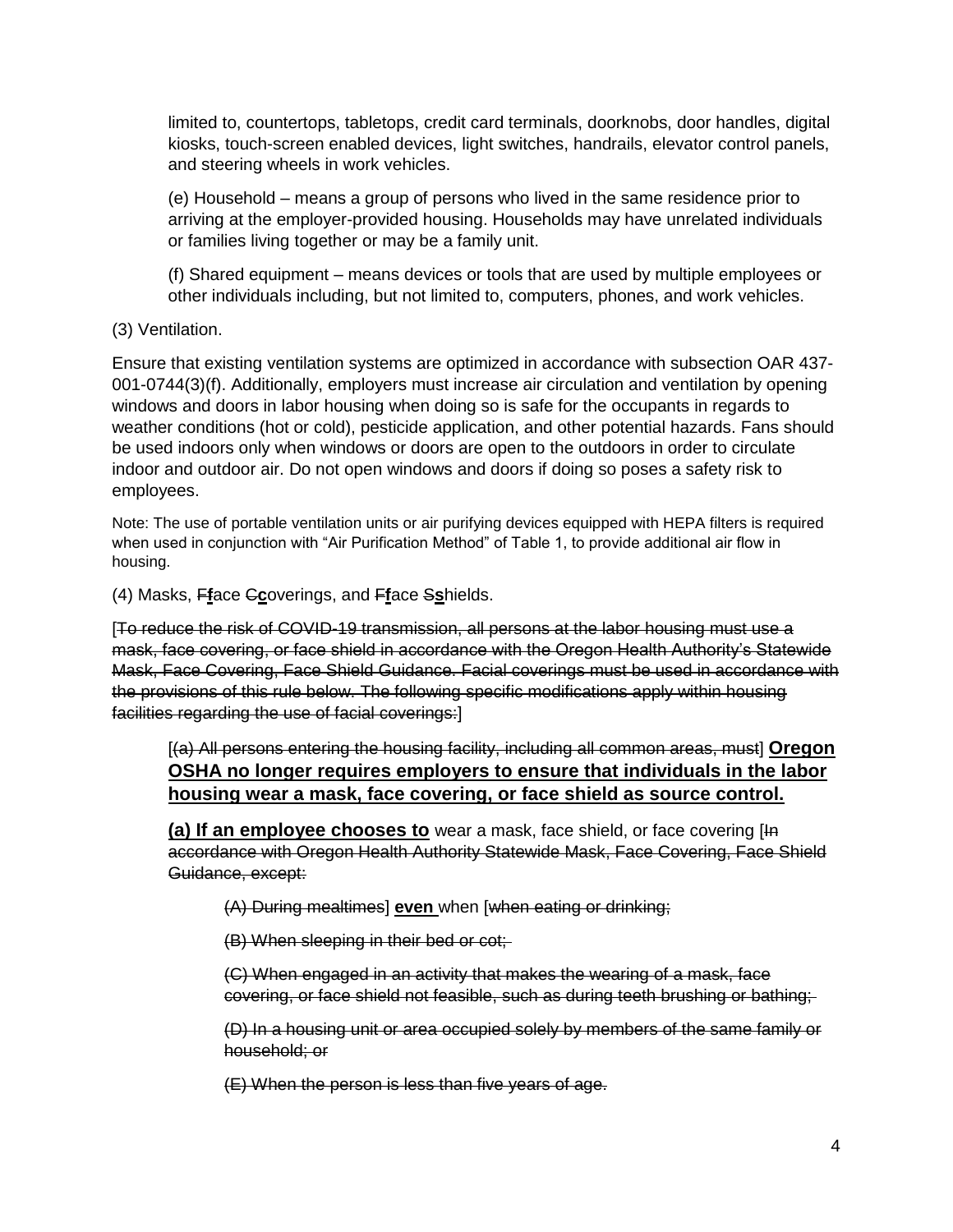limited to, countertops, tabletops, credit card terminals, doorknobs, door handles, digital kiosks, touch-screen enabled devices, light switches, handrails, elevator control panels, and steering wheels in work vehicles.

(e) Household – means a group of persons who lived in the same residence prior to arriving at the employer-provided housing. Households may have unrelated individuals or families living together or may be a family unit.

(f) Shared equipment – means devices or tools that are used by multiple employees or other individuals including, but not limited to, computers, phones, and work vehicles.

(3) Ventilation.

Ensure that existing ventilation systems are optimized in accordance with subsection OAR 437- 001-0744(3)(f). Additionally, employers must increase air circulation and ventilation by opening windows and doors in labor housing when doing so is safe for the occupants in regards to weather conditions (hot or cold), pesticide application, and other potential hazards. Fans should be used indoors only when windows or doors are open to the outdoors in order to circulate indoor and outdoor air. Do not open windows and doors if doing so poses a safety risk to employees.

Note: The use of portable ventilation units or air purifying devices equipped with HEPA filters is required when used in conjunction with "Air Purification Method" of Table 1, to provide additional air flow in housing.

(4) Masks, F**f**ace C**c**overings, and F**f**ace S**s**hields.

[To reduce the risk of COVID-19 transmission, all persons at the labor housing must use a mask, face covering, or face shield in accordance with the Oregon Health Authority's Statewide Mask, Face Covering, Face Shield Guidance. Facial coverings must be used in accordance with the provisions of this rule below. The following specific modifications apply within housing facilities regarding the use of facial coverings:]

[(a) All persons entering the housing facility, including all common areas, must] **Oregon OSHA no longer requires employers to ensure that individuals in the labor housing wear a mask, face covering, or face shield as source control.**

**(a) If an employee chooses to** wear a mask, face shield, or face covering [In accordance with Oregon Health Authority Statewide Mask, Face Covering, Face Shield Guidance, except:

(A) During mealtimes] **even** when [when eating or drinking;

(B) When sleeping in their bed or cot;

(C) When engaged in an activity that makes the wearing of a mask, face covering, or face shield not feasible, such as during teeth brushing or bathing;

(D) In a housing unit or area occupied solely by members of the same family or household; or

(E) When the person is less than five years of age.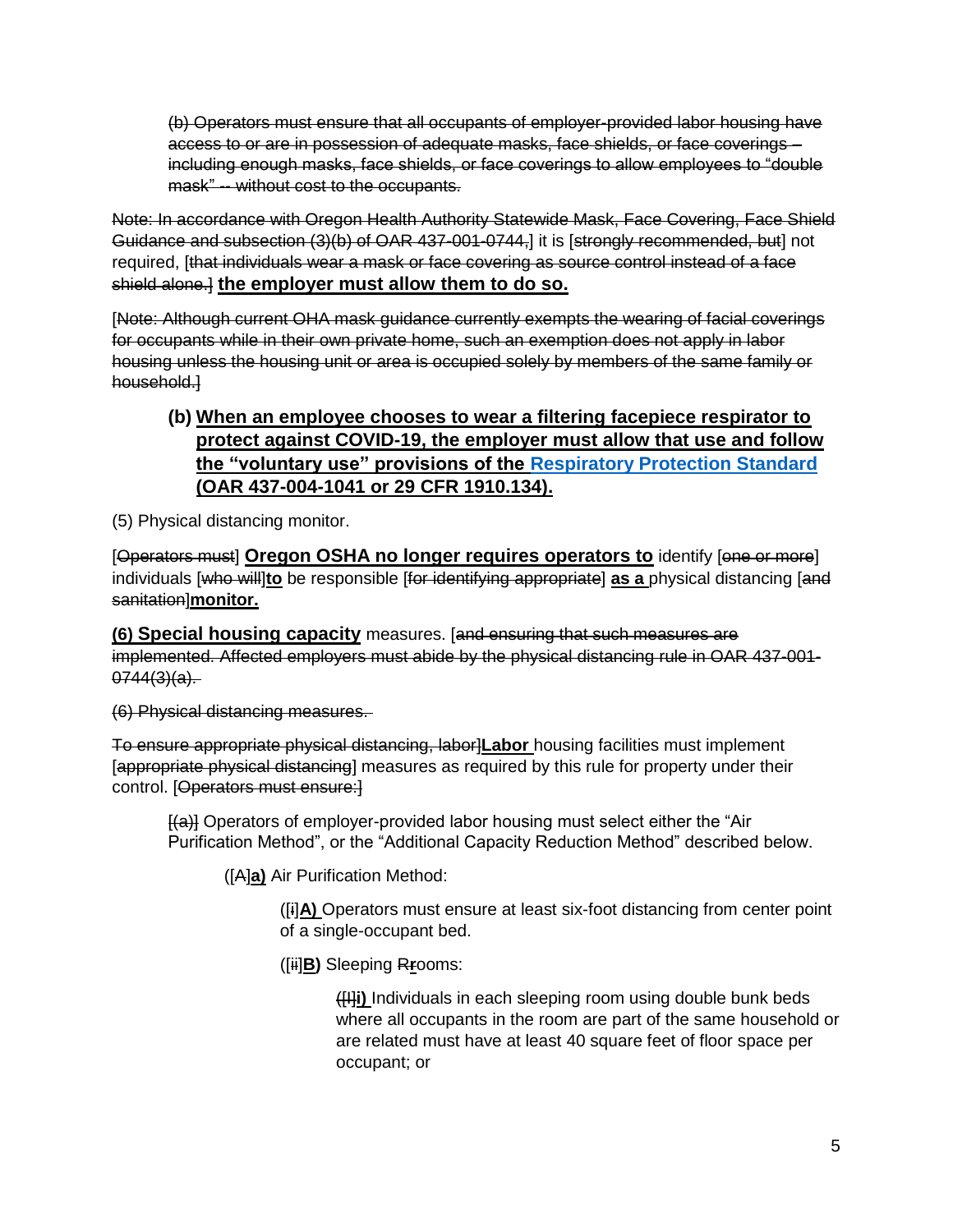(b) Operators must ensure that all occupants of employer-provided labor housing have access to or are in possession of adequate masks, face shields, or face coverings – including enough masks, face shields, or face coverings to allow employees to "double mask" -- without cost to the occupants.

Note: In accordance with Oregon Health Authority Statewide Mask, Face Covering, Face Shield Guidance and subsection (3)(b) of OAR 437-001-0744-] it is [strongly recommended, but] not required, [that individuals wear a mask or face covering as source control instead of a face shield alone.] **the employer must allow them to do so.**

[Note: Although current OHA mask guidance currently exempts the wearing of facial coverings for occupants while in their own private home, such an exemption does not apply in labor housing unless the housing unit or area is occupied solely by members of the same family or household.]

## **(b) When an employee chooses to wear a filtering facepiece respirator to protect against COVID-19, the employer must allow that use and follow the "voluntary use" provisions of the [Respiratory Protection Standard](https://osha.oregon.gov/OSHARules/div2/div2I.pdf#1910-134) (OAR 437-004-1041 or 29 CFR 1910.134).**

(5) Physical distancing monitor.

[Operators must] **Oregon OSHA no longer requires operators to** identify [one or more] individuals [who will]**to** be responsible [for identifying appropriate] **as a** physical distancing [and sanitation]**monitor.**

**(6) Special housing capacity** measures. [and ensuring that such measures are implemented. Affected employers must abide by the physical distancing rule in OAR 437-001-  $0744(3)(a)$ .

(6) Physical distancing measures.

To ensure appropriate physical distancing, labor]**Labor** housing facilities must implement [appropriate physical distancing] measures as required by this rule for property under their control. [Operators must ensure:]

[(a)] Operators of employer-provided labor housing must select either the "Air Purification Method", or the "Additional Capacity Reduction Method" described below.

([A]**a)** Air Purification Method:

([i]**A)** Operators must ensure at least six-foot distancing from center point of a single-occupant bed.

([ii]**B)** Sleeping R**r**ooms:

([I]**i)** Individuals in each sleeping room using double bunk beds where all occupants in the room are part of the same household or are related must have at least 40 square feet of floor space per occupant; or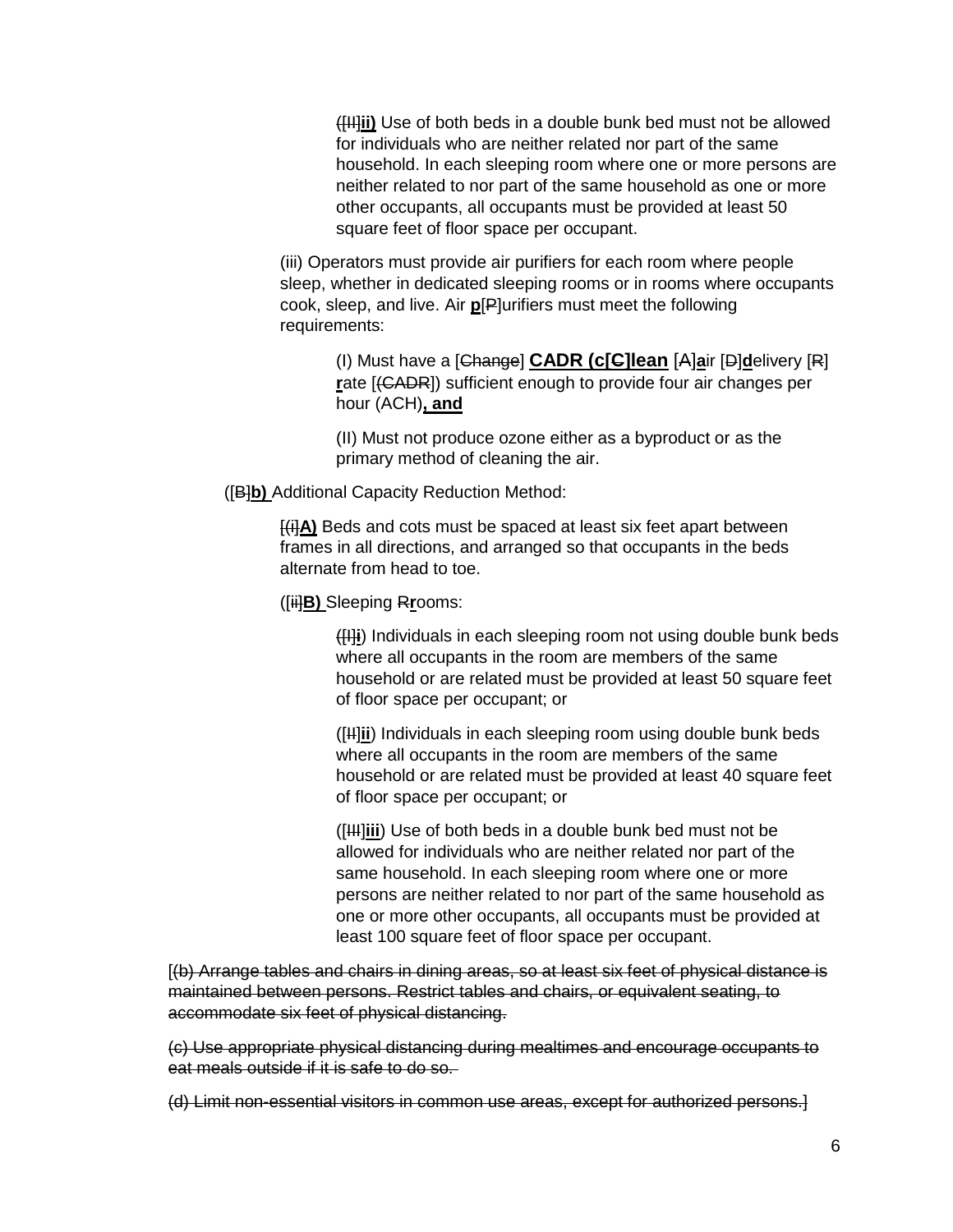([II]**ii)** Use of both beds in a double bunk bed must not be allowed for individuals who are neither related nor part of the same household. In each sleeping room where one or more persons are neither related to nor part of the same household as one or more other occupants, all occupants must be provided at least 50 square feet of floor space per occupant.

(iii) Operators must provide air purifiers for each room where people sleep, whether in dedicated sleeping rooms or in rooms where occupants cook, sleep, and live. Air **p**[P]urifiers must meet the following requirements:

(I) Must have a [Change] **CADR (c[C]lean** [A]**a**ir [D]**d**elivery [R] **r**ate [(CADR]) sufficient enough to provide four air changes per hour (ACH)**, and**

(II) Must not produce ozone either as a byproduct or as the primary method of cleaning the air.

([B]**b)** Additional Capacity Reduction Method:

[(i]**A)** Beds and cots must be spaced at least six feet apart between frames in all directions, and arranged so that occupants in the beds alternate from head to toe.

([ii]**B)** Sleeping R**r**ooms:

([I]**i**) Individuals in each sleeping room not using double bunk beds where all occupants in the room are members of the same household or are related must be provided at least 50 square feet of floor space per occupant; or

([II]**ii**) Individuals in each sleeping room using double bunk beds where all occupants in the room are members of the same household or are related must be provided at least 40 square feet of floor space per occupant; or

([III]**iii**) Use of both beds in a double bunk bed must not be allowed for individuals who are neither related nor part of the same household. In each sleeping room where one or more persons are neither related to nor part of the same household as one or more other occupants, all occupants must be provided at least 100 square feet of floor space per occupant.

[(b) Arrange tables and chairs in dining areas, so at least six feet of physical distance is maintained between persons. Restrict tables and chairs, or equivalent seating, to accommodate six feet of physical distancing.

(c) Use appropriate physical distancing during mealtimes and encourage occupants to eat meals outside if it is safe to do so.

(d) Limit non-essential visitors in common use areas, except for authorized persons.]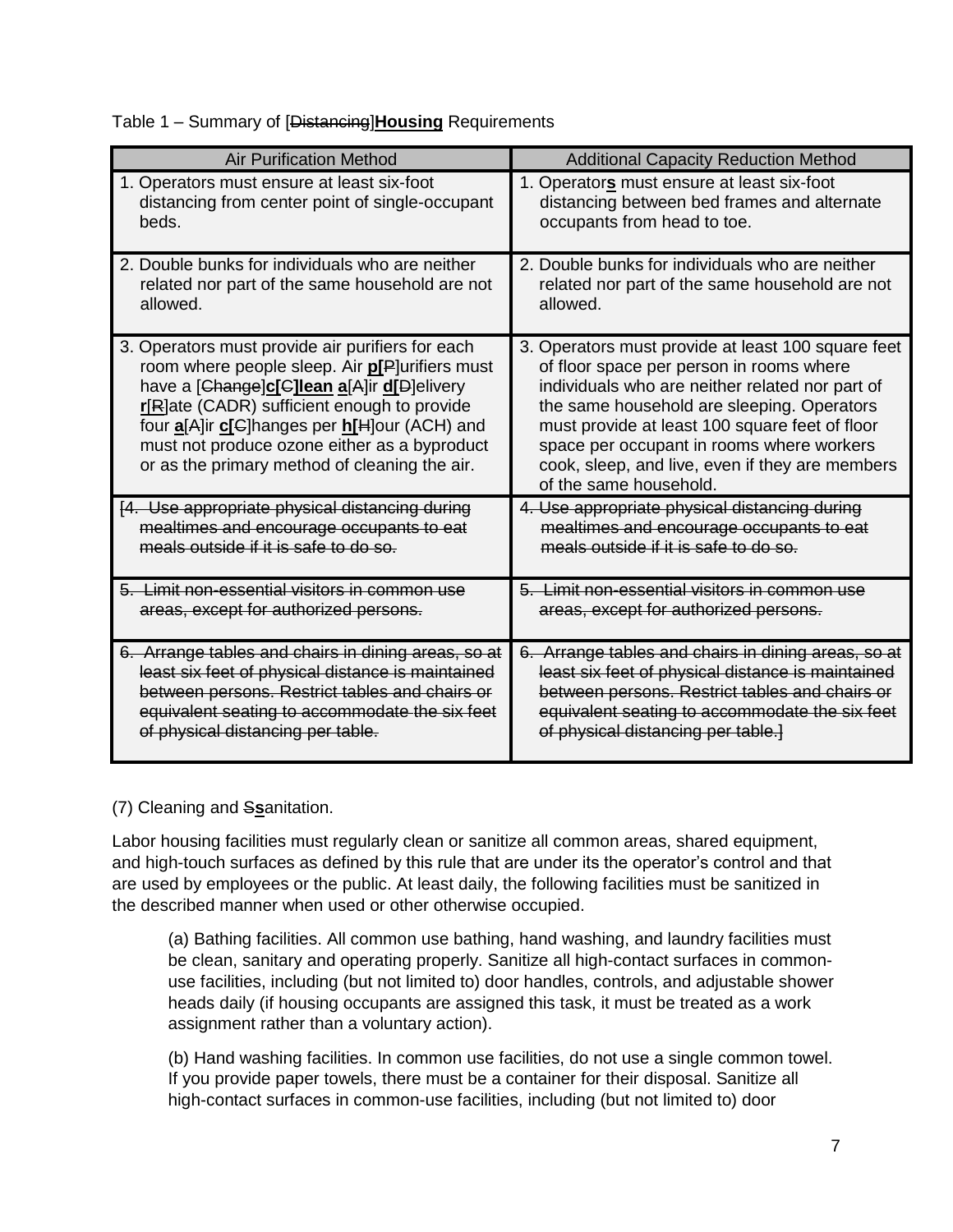Table 1 – Summary of [Distancing]**Housing** Requirements

| <b>Air Purification Method</b>                                                                                                                                                                                                                                                                                                                           | <b>Additional Capacity Reduction Method</b>                                                                                                                                                                                                                                                                                                                                 |
|----------------------------------------------------------------------------------------------------------------------------------------------------------------------------------------------------------------------------------------------------------------------------------------------------------------------------------------------------------|-----------------------------------------------------------------------------------------------------------------------------------------------------------------------------------------------------------------------------------------------------------------------------------------------------------------------------------------------------------------------------|
| 1. Operators must ensure at least six-foot                                                                                                                                                                                                                                                                                                               | 1. Operators must ensure at least six-foot                                                                                                                                                                                                                                                                                                                                  |
| distancing from center point of single-occupant                                                                                                                                                                                                                                                                                                          | distancing between bed frames and alternate                                                                                                                                                                                                                                                                                                                                 |
| beds.                                                                                                                                                                                                                                                                                                                                                    | occupants from head to toe.                                                                                                                                                                                                                                                                                                                                                 |
| 2. Double bunks for individuals who are neither                                                                                                                                                                                                                                                                                                          | 2. Double bunks for individuals who are neither                                                                                                                                                                                                                                                                                                                             |
| related nor part of the same household are not                                                                                                                                                                                                                                                                                                           | related nor part of the same household are not                                                                                                                                                                                                                                                                                                                              |
| allowed.                                                                                                                                                                                                                                                                                                                                                 | allowed.                                                                                                                                                                                                                                                                                                                                                                    |
| 3. Operators must provide air purifiers for each<br>room where people sleep. Air <b>p[P</b> ]urifiers must<br>have a [Change]c[C]lean a[A]ir d[D]elivery<br>r[R]ate (CADR) sufficient enough to provide<br>four a[A]ir c[G]hanges per h[H]our (ACH) and<br>must not produce ozone either as a byproduct<br>or as the primary method of cleaning the air. | 3. Operators must provide at least 100 square feet<br>of floor space per person in rooms where<br>individuals who are neither related nor part of<br>the same household are sleeping. Operators<br>must provide at least 100 square feet of floor<br>space per occupant in rooms where workers<br>cook, sleep, and live, even if they are members<br>of the same household. |
| [4. Use appropriate physical distancing during                                                                                                                                                                                                                                                                                                           | 4. Use appropriate physical distancing during                                                                                                                                                                                                                                                                                                                               |
| mealtimes and encourage occupants to eat                                                                                                                                                                                                                                                                                                                 | mealtimes and encourage occupants to eat                                                                                                                                                                                                                                                                                                                                    |
| meals outside if it is safe to do so.                                                                                                                                                                                                                                                                                                                    | meals outside if it is safe to do so.                                                                                                                                                                                                                                                                                                                                       |
| 5. Limit non-essential visitors in common use                                                                                                                                                                                                                                                                                                            | 5. Limit non-essential visitors in common use                                                                                                                                                                                                                                                                                                                               |
| areas, except for authorized persons.                                                                                                                                                                                                                                                                                                                    | areas, except for authorized persons.                                                                                                                                                                                                                                                                                                                                       |
| 6. Arrange tables and chairs in dining areas, so at                                                                                                                                                                                                                                                                                                      | 6. Arrange tables and chairs in dining areas, so at                                                                                                                                                                                                                                                                                                                         |
| least six feet of physical distance is maintained                                                                                                                                                                                                                                                                                                        | least six feet of physical distance is maintained                                                                                                                                                                                                                                                                                                                           |
| between persons. Restrict tables and chairs or                                                                                                                                                                                                                                                                                                           | between persons. Restrict tables and chairs or                                                                                                                                                                                                                                                                                                                              |
| equivalent seating to accommodate the six feet                                                                                                                                                                                                                                                                                                           | equivalent seating to accommodate the six feet                                                                                                                                                                                                                                                                                                                              |
| of physical distancing per table.                                                                                                                                                                                                                                                                                                                        | of physical distancing per table.]                                                                                                                                                                                                                                                                                                                                          |

(7) Cleaning and S**s**anitation.

Labor housing facilities must regularly clean or sanitize all common areas, shared equipment, and high-touch surfaces as defined by this rule that are under its the operator's control and that are used by employees or the public. At least daily, the following facilities must be sanitized in the described manner when used or other otherwise occupied.

(a) Bathing facilities. All common use bathing, hand washing, and laundry facilities must be clean, sanitary and operating properly. Sanitize all high-contact surfaces in commonuse facilities, including (but not limited to) door handles, controls, and adjustable shower heads daily (if housing occupants are assigned this task, it must be treated as a work assignment rather than a voluntary action).

(b) Hand washing facilities. In common use facilities, do not use a single common towel. If you provide paper towels, there must be a container for their disposal. Sanitize all high-contact surfaces in common-use facilities, including (but not limited to) door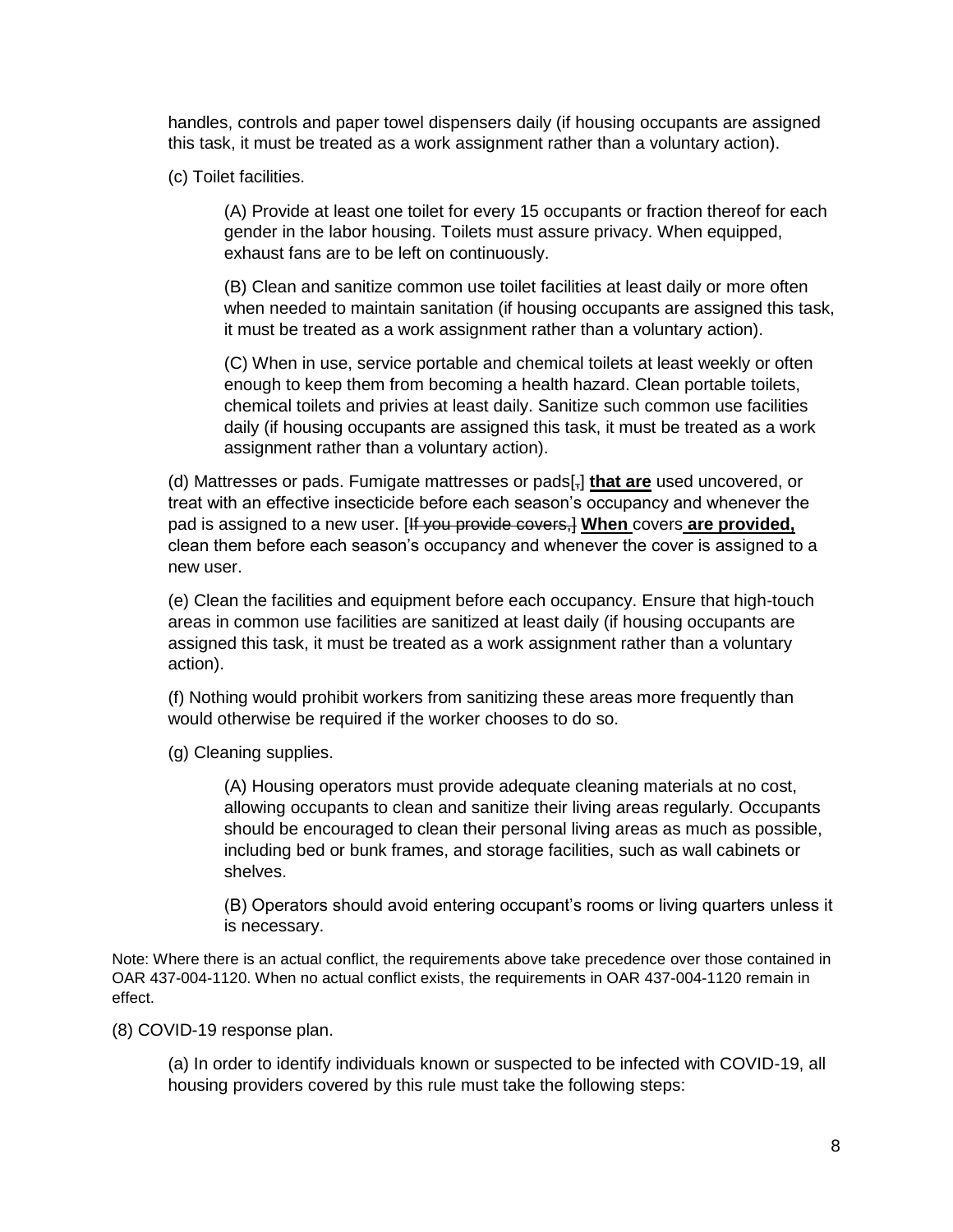handles, controls and paper towel dispensers daily (if housing occupants are assigned this task, it must be treated as a work assignment rather than a voluntary action).

(c) Toilet facilities.

(A) Provide at least one toilet for every 15 occupants or fraction thereof for each gender in the labor housing. Toilets must assure privacy. When equipped, exhaust fans are to be left on continuously.

(B) Clean and sanitize common use toilet facilities at least daily or more often when needed to maintain sanitation (if housing occupants are assigned this task, it must be treated as a work assignment rather than a voluntary action).

(C) When in use, service portable and chemical toilets at least weekly or often enough to keep them from becoming a health hazard. Clean portable toilets, chemical toilets and privies at least daily. Sanitize such common use facilities daily (if housing occupants are assigned this task, it must be treated as a work assignment rather than a voluntary action).

(d) Mattresses or pads. Fumigate mattresses or pads[,] **that are** used uncovered, or treat with an effective insecticide before each season's occupancy and whenever the pad is assigned to a new user. [If you provide covers,] **When** covers **are provided,** clean them before each season's occupancy and whenever the cover is assigned to a new user.

(e) Clean the facilities and equipment before each occupancy. Ensure that high-touch areas in common use facilities are sanitized at least daily (if housing occupants are assigned this task, it must be treated as a work assignment rather than a voluntary action).

(f) Nothing would prohibit workers from sanitizing these areas more frequently than would otherwise be required if the worker chooses to do so.

(g) Cleaning supplies.

(A) Housing operators must provide adequate cleaning materials at no cost, allowing occupants to clean and sanitize their living areas regularly. Occupants should be encouraged to clean their personal living areas as much as possible, including bed or bunk frames, and storage facilities, such as wall cabinets or shelves.

(B) Operators should avoid entering occupant's rooms or living quarters unless it is necessary.

Note: Where there is an actual conflict, the requirements above take precedence over those contained in OAR 437-004-1120. When no actual conflict exists, the requirements in OAR 437-004-1120 remain in effect.

(8) COVID-19 response plan.

(a) In order to identify individuals known or suspected to be infected with COVID-19, all housing providers covered by this rule must take the following steps: